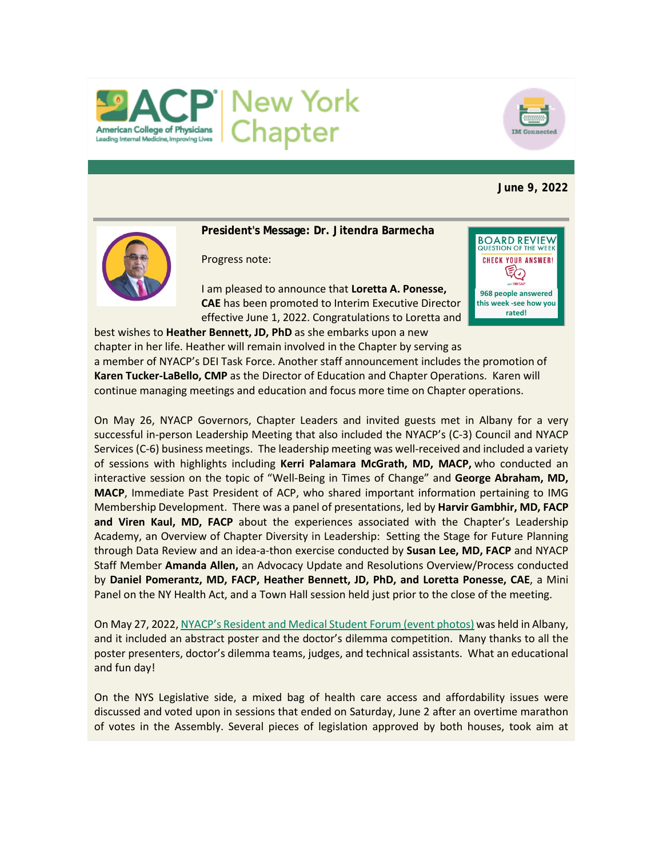



**June 9, 2022**



**President's Message: Dr. Jitendra Barmecha**

Progress note:

I am pleased to announce that **Loretta A. Ponesse, CAE** has been promoted to Interim Executive Director effective June 1, 2022. Congratulations to Loretta and best wishes to **Heather Bennett, JD, PhD** as she embarks upon a new



chapter in her life. Heather will remain involved in the Chapter by serving as a member of NYACP's DEI Task Force. Another staff announcement includes the promotion of **Karen Tucker-LaBello, CMP** as the Director of Education and Chapter Operations. Karen will continue managing meetings and education and focus more time on Chapter operations.

On May 26, NYACP Governors, Chapter Leaders and invited guests met in Albany for a very successful in-person Leadership Meeting that also included the NYACP's (C-3) Council and NYACP Services (C-6) business meetings. The leadership meeting was well-received and included a variety of sessions with highlights including **Kerri Palamara McGrath, MD, MACP,** who conducted an interactive session on the topic of "Well-Being in Times of Change" and **George Abraham, MD, MACP**, Immediate Past President of ACP, who shared important information pertaining to IMG Membership Development. There was a panel of presentations, led by **Harvir Gambhir, MD, FACP and Viren Kaul, MD, FACP** about the experiences associated with the Chapter's Leadership Academy, an Overview of Chapter Diversity in Leadership: Setting the Stage for Future Planning through Data Review and an idea-a-thon exercise conducted by **Susan Lee, MD, FACP** and NYACP Staff Member **Amanda Allen,** an Advocacy Update and Resolutions Overview/Process conducted by **Daniel Pomerantz, MD, FACP, Heather Bennett, JD, PhD, and Loretta Ponesse, CAE**, a Mini Panel on the NY Health Act, and a Town Hall session held just prior to the close of the meeting.

On May 27, 2022[, NYACP's Resident and Medical Student Forum](https://www.votervoice.net/BroadcastLinks/DLtD38aTFoAnxJZBaUNtZA) (event photos) was held in Albany, and it included an abstract poster and the doctor's dilemma competition. Many thanks to all the poster presenters, doctor's dilemma teams, judges, and technical assistants. What an educational and fun day!

On the NYS Legislative side, a mixed bag of health care access and affordability issues were discussed and voted upon in sessions that ended on Saturday, June 2 after an overtime marathon of votes in the Assembly. Several pieces of legislation approved by both houses, took aim at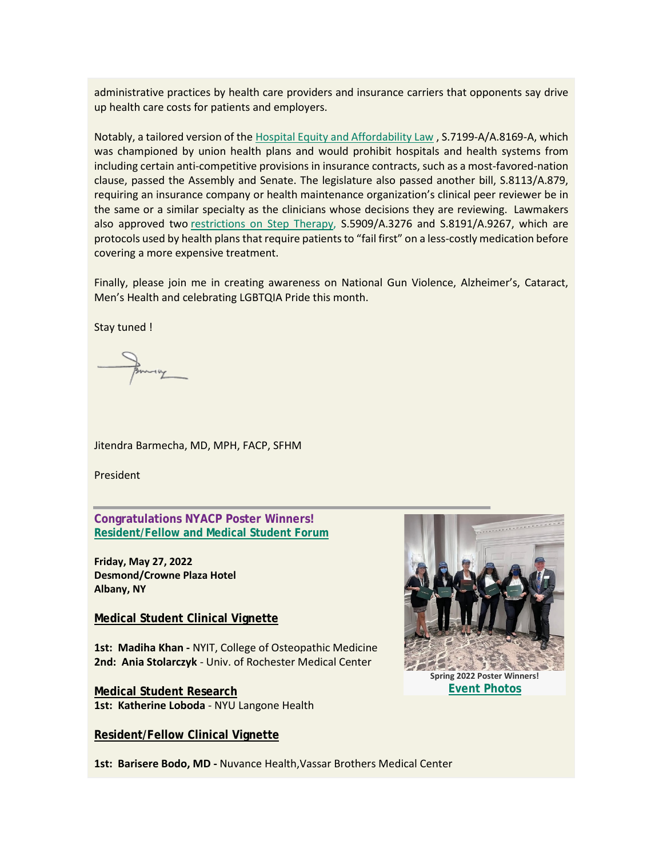administrative practices by health care providers and insurance carriers that opponents say drive up health care costs for patients and employers.

Notably, a tailored version of the [Hospital Equity and Affordability Law](https://www.votervoice.net/BroadcastLinks/WcuBrmkIWqZHhnW_b5_5mQ) , S.7199-A/A.8169-A, which was championed by union health plans and would prohibit hospitals and health systems from including certain anti-competitive provisions in insurance contracts, such as a most-favored-nation clause, passed the Assembly and Senate. The legislature also passed another bill, S.8113/A.879, requiring an insurance company or health maintenance organization's clinical peer reviewer be in the same or a similar specialty as the clinicians whose decisions they are reviewing. Lawmakers also approved two [restrictions on Step Therapy,](https://www.votervoice.net/BroadcastLinks/QEhQub7CQ_EqYsdUvcdfBg) S.5909/A.3276 and S.8191/A.9267, which are protocols used by health plans that require patients to "fail first" on a less-costly medication before covering a more expensive treatment.

Finally, please join me in creating awareness on National Gun Violence, Alzheimer's, Cataract, Men's Health and celebrating LGBTQIA Pride this month.

Stay tuned !

Jitendra Barmecha, MD, MPH, FACP, SFHM

President

**Congratulations NYACP Poster Winners! [Resident/Fellow and Medical Student Forum](https://www.votervoice.net/BroadcastLinks/DLtD38aTFoAnxJZBaUNtZA)**

**Friday, May 27, 2022 Desmond/Crowne Plaza Hotel Albany, NY**

**Medical Student Clinical Vignette**

**1st: Madiha Khan -** NYIT, College of Osteopathic Medicine **2nd: Ania Stolarczyk** - Univ. of Rochester Medical Center

**Medical Student Research 1st: Katherine Loboda** - NYU Langone Health

**Resident/Fellow Clinical Vignette**



**Spring 2022 Poster Winners! [Event Photos](https://www.votervoice.net/BroadcastLinks/DLtD38aTFoAnxJZBaUNtZA)**

**1st: Barisere Bodo, MD -** Nuvance Health,Vassar Brothers Medical Center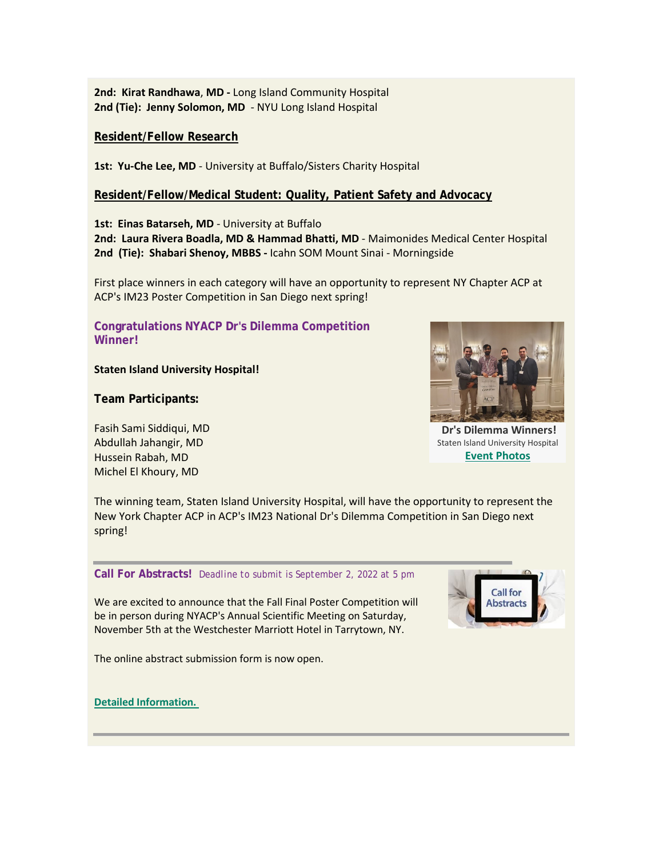**2nd: Kirat Randhawa**, **MD -** Long Island Community Hospital **2nd (Tie): Jenny Solomon, MD** - NYU Long Island Hospital

## **Resident/Fellow Research**

1st: Yu-Che Lee, MD - University at Buffalo/Sisters Charity Hospital

# **Resident/Fellow/Medical Student: Quality, Patient Safety and Advocacy**

**1st: Einas Batarseh, MD** - University at Buffalo **2nd: Laura Rivera Boadla, MD & Hammad Bhatti, MD** - Maimonides Medical Center Hospital **2nd (Tie): Shabari Shenoy, MBBS -** Icahn SOM Mount Sinai - Morningside

First place winners in each category will have an opportunity to represent NY Chapter ACP at ACP's IM23 Poster Competition in San Diego next spring!

## **Congratulations NYACP Dr's Dilemma Competition Winner!**

## **Staten Island University Hospital!**

**Team Participants:**

Fasih Sami Siddiqui, MD Abdullah Jahangir, MD Hussein Rabah, MD Michel El Khoury, MD



**Dr's Dilemma Winners!** Staten Island University Hospital **[Event Photos](https://www.votervoice.net/BroadcastLinks/DLtD38aTFoAnxJZBaUNtZA)**

The winning team, Staten Island University Hospital, will have the opportunity to represent the New York Chapter ACP in ACP's IM23 National Dr's Dilemma Competition in San Diego next spring!

## **Call For Abstracts!** *Deadline to submit is September 2, 2022 at 5 pm*

We are excited to announce that the Fall Final Poster Competition will be in person during NYACP's Annual Scientific Meeting on Saturday, November 5th at the Westchester Marriott Hotel in Tarrytown, NY.

The online abstract submission form is now open.



**[Detailed Information.](https://www.votervoice.net/BroadcastLinks/UA7L0qj8gfztRDGeCRWTHw)**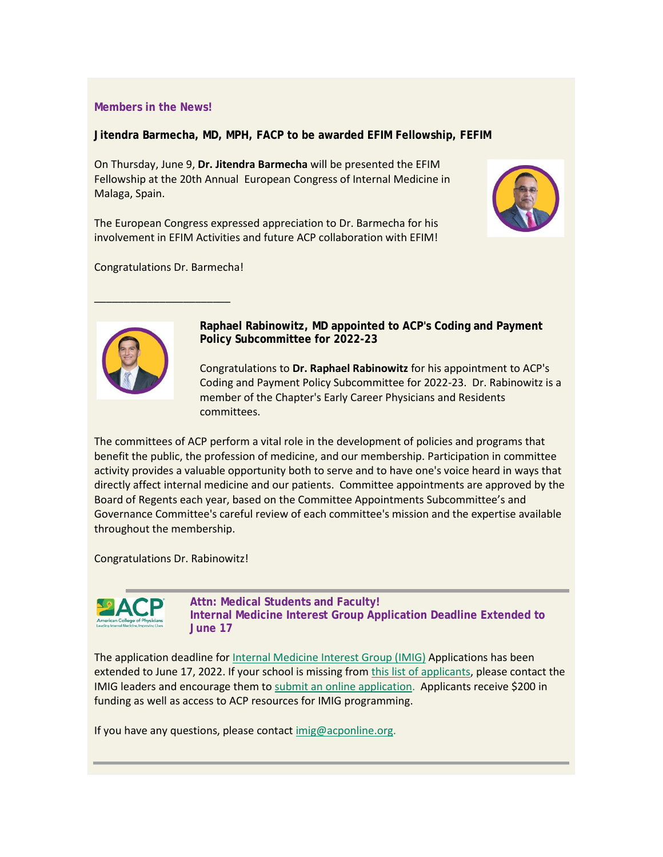## **Members in the News!**

**Jitendra Barmecha, MD, MPH, FACP to be awarded EFIM Fellowship, FEFIM**

On Thursday, June 9, **Dr. Jitendra Barmecha** will be presented the EFIM Fellowship at the 20th Annual European Congress of Internal Medicine in Malaga, Spain.

The European Congress expressed appreciation to Dr. Barmecha for his involvement in EFIM Activities and future ACP collaboration with EFIM!



Congratulations Dr. Barmecha!

 $\overline{\phantom{a}}$  , where the contract of the contract of the contract of the contract of the contract of the contract of the contract of the contract of the contract of the contract of the contract of the contract of the contr



**Raphael Rabinowitz, MD appointed to ACP's Coding and Payment Policy Subcommittee for 2022-23**

Congratulations to **Dr. Raphael Rabinowitz** for his appointment to ACP's Coding and Payment Policy Subcommittee for 2022-23. Dr. Rabinowitz is a member of the Chapter's Early Career Physicians and Residents committees.

The committees of ACP perform a vital role in the development of policies and programs that benefit the public, the profession of medicine, and our membership. Participation in committee activity provides a valuable opportunity both to serve and to have one's voice heard in ways that directly affect internal medicine and our patients. Committee appointments are approved by the Board of Regents each year, based on the Committee Appointments Subcommittee's and Governance Committee's careful review of each committee's mission and the expertise available throughout the membership.

Congratulations Dr. Rabinowitz!



**Attn: Medical Students and Faculty! Internal Medicine Interest Group Application Deadline Extended to June 17**

The application deadline fo[r Internal Medicine Interest Group \(IMIG\)](https://www.votervoice.net/BroadcastLinks/_Z5qX7wTjzbPEckWZ6KNTw) Applications has been extended to June 17, 2022. If your school is missing from [this list of applicants,](https://www.votervoice.net/BroadcastLinks/ELlu7X54OS-b4seE9VhxUA) please contact the IMIG leaders and encourage them t[o submit an online application.](https://www.votervoice.net/BroadcastLinks/6fgdIRuIZChZ7Edi_-FNfg) Applicants receive \$200 in funding as well as access to ACP resources for IMIG programming.

If you have any questions, please contact [imig@acponline.org.](mailto:imig@acponline.org)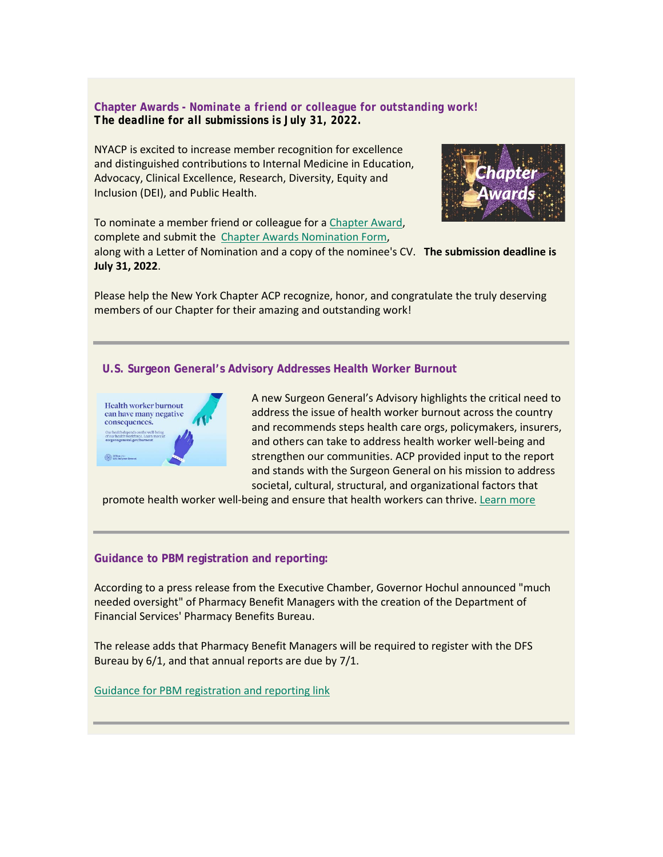**Chapter Awards -** *Nominate a friend or colleague for outstanding work! The deadline for all submissions is July 31, 2022.*

NYACP is excited to increase member recognition for excellence and distinguished contributions to Internal Medicine in Education, Advocacy, Clinical Excellence, Research, Diversity, Equity and Inclusion (DEI), and Public Health.

To nominate a member friend or colleague for a [Chapter Award,](https://www.votervoice.net/BroadcastLinks/IACiTdwQQE5umFF7zkLgWA) complete and submit the [Chapter Awards Nomination Form,](https://www.votervoice.net/BroadcastLinks/qUkwRjYRTBdLauNIjT19_w)



along with a Letter of Nomination and a copy of the nominee's CV. **The submission deadline is July 31, 2022**.

Please help the New York Chapter ACP recognize, honor, and congratulate the truly deserving members of our Chapter for their amazing and outstanding work!

#### **U.S. Surgeon General's Advisory Addresses Health Worker Burnout**



A new Surgeon General's Advisory highlights the critical need to address the issue of health worker burnout across the country and recommends steps health care orgs, policymakers, insurers, and others can take to address health worker well-being and strengthen our communities. ACP provided input to the report and stands with the Surgeon General on his mission to address societal, cultural, structural, and organizational factors that

promote health worker well-being and ensure that health workers can thrive. [Learn more](https://www.votervoice.net/BroadcastLinks/fkZ1Gw_T_RlX_wa1riOyJA)

#### **Guidance to PBM registration and reporting:**

According to a press release from the Executive Chamber, Governor Hochul announced "much needed oversight" of Pharmacy Benefit Managers with the creation of the Department of Financial Services' Pharmacy Benefits Bureau.

The release adds that Pharmacy Benefit Managers will be required to register with the DFS Bureau by 6/1, and that annual reports are due by 7/1.

[Guidance for PBM registration and reporting link](https://www.votervoice.net/BroadcastLinks/W4pplbNROI7MmjQR1HFANw)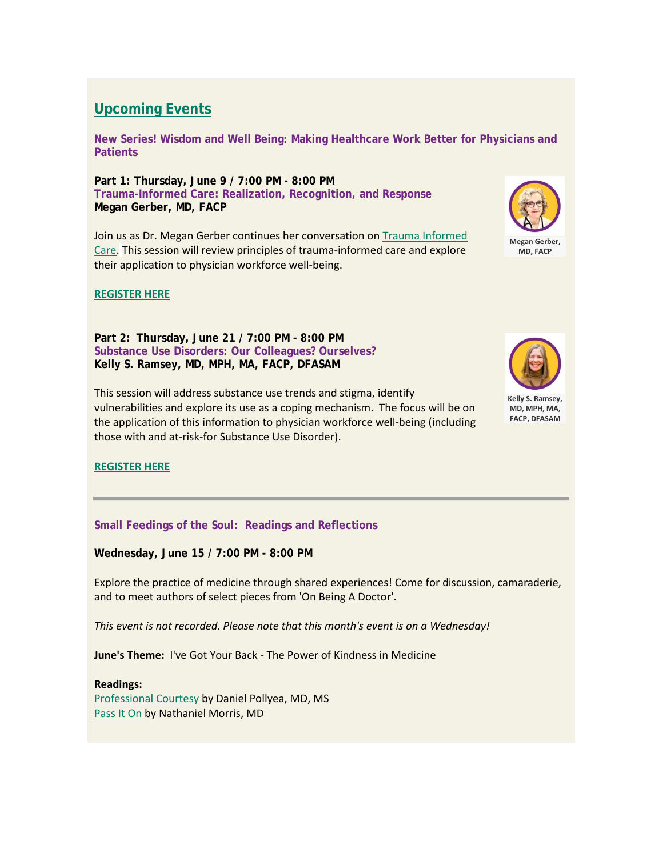# **Upcoming Events**

**New Series! Wisdom and Well Being: Making Healthcare Work Better for Physicians and Patients**

**Part 1: Thursday, June 9 / 7:00 PM - 8:00 PM Trauma-Informed Care: Realization, Recognition, and Response Megan Gerber, MD, FACP**

Join us as Dr. Megan Gerber continues her conversation on Trauma Informed [Care.](https://www.votervoice.net/BroadcastLinks/KUgvqDDhkmE9mUGh9-TBlw) This session will review principles of trauma-informed care and explore their application to physician workforce well-being.



**Megan Gerber, MD, FACP**

## **[REGISTER HERE](https://www.votervoice.net/BroadcastLinks/vSv4Ixl3c055TO8BgC625Q)**

**Part 2: Thursday, June 21 / 7:00 PM - 8:00 PM Substance Use Disorders: Our Colleagues? Ourselves? Kelly S. Ramsey, MD, MPH, MA, FACP, DFASAM**

This session will address substance use trends and stigma, identify vulnerabilities and explore its use as a coping mechanism. The focus will be on the application of this information to physician workforce well-being (including those with and at-risk-for Substance Use Disorder).



**Kelly S. Ramsey, MD, MPH, MA, FACP, DFASAM**

## **[REGISTER HERE](https://www.votervoice.net/BroadcastLinks/A19FhR8sU1b9JgMZ8D0_YQ)**

**Small Feedings of the Soul: Readings and Reflections**

**Wednesday, June 15 / 7:00 PM - 8:00 PM**

Explore the practice of medicine through shared experiences! Come for discussion, camaraderie, and to meet authors of select pieces from 'On Being A Doctor'.

*This event is not recorded. Please note that this month's event is on a Wednesday!*

**June's Theme:** I've Got Your Back - The Power of Kindness in Medicine

**Readings:** [Professional Courtesy](https://www.votervoice.net/BroadcastLinks/d98n_pVwC6TmA9bs_LOy5w) by Daniel Pollyea, MD, MS [Pass It On](https://www.votervoice.net/BroadcastLinks/rSXoCb-knjVzQYE5CmszEA) by Nathaniel Morris, MD